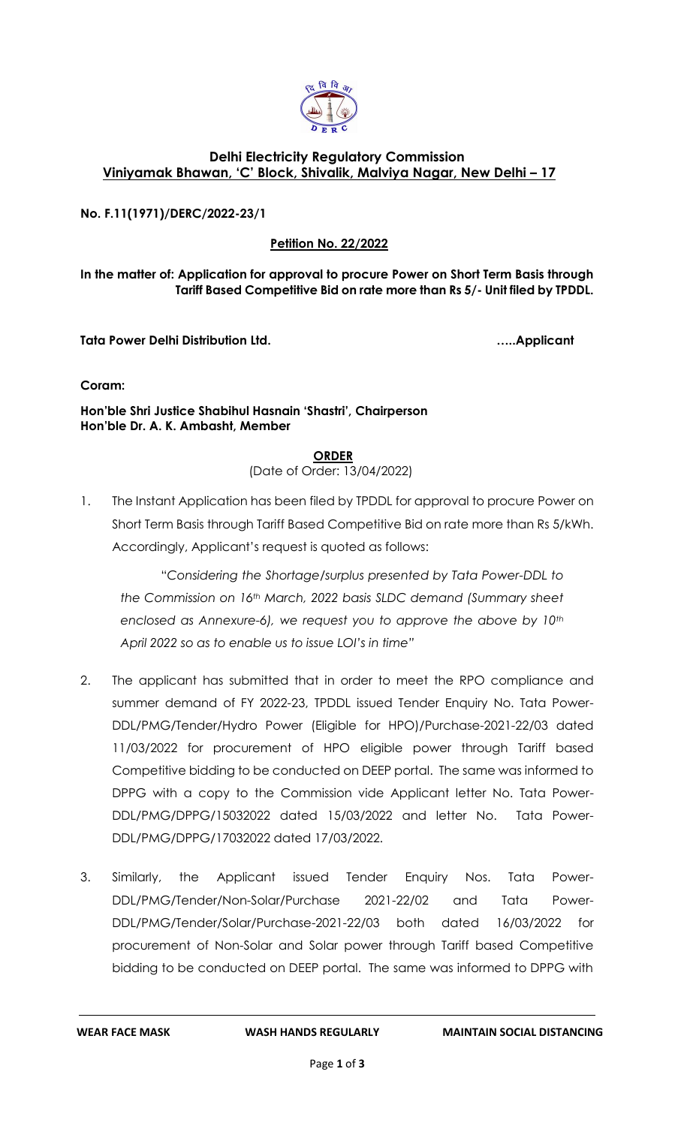

## **Delhi Electricity Regulatory Commission Viniyamak Bhawan, 'C' Block, Shivalik, Malviya Nagar, New Delhi – 17**

**No. F.11(1971)/DERC/2022-23/1**

**Petition No. 22/2022**

**In the matter of: Application for approval to procure Power on Short Term Basis through Tariff Based Competitive Bid on rate more than Rs 5/- Unit filed by TPDDL.**

**Tata Power Delhi Distribution Ltd. …..Applicant**

**Coram:** 

**Hon'ble Shri Justice Shabihul Hasnain 'Shastri', Chairperson Hon'ble Dr. A. K. Ambasht, Member**

## **ORDER**

(Date of Order: 13/04/2022)

1. The Instant Application has been filed by TPDDL for approval to procure Power on Short Term Basis through Tariff Based Competitive Bid on rate more than Rs 5/kWh. Accordingly, Applicant's request is quoted as follows:

"*Considering the Shortage/surplus presented by Tata Power-DDL to the Commission on 16th March, 2022 basis SLDC demand (Summary sheet enclosed as Annexure-6), we request you to approve the above by 10th April 2022 so as to enable us to issue LOI's in time"*

- 2. The applicant has submitted that in order to meet the RPO compliance and summer demand of FY 2022-23, TPDDL issued Tender Enquiry No. Tata Power-DDL/PMG/Tender/Hydro Power (Eligible for HPO)/Purchase-2021-22/03 dated 11/03/2022 for procurement of HPO eligible power through Tariff based Competitive bidding to be conducted on DEEP portal. The same was informed to DPPG with a copy to the Commission vide Applicant letter No. Tata Power-DDL/PMG/DPPG/15032022 dated 15/03/2022 and letter No. Tata Power-DDL/PMG/DPPG/17032022 dated 17/03/2022.
- 3. Similarly, the Applicant issued Tender Enquiry Nos. Tata Power-DDL/PMG/Tender/Non-Solar/Purchase 2021-22/02 and Tata Power-DDL/PMG/Tender/Solar/Purchase-2021-22/03 both dated 16/03/2022 for procurement of Non-Solar and Solar power through Tariff based Competitive bidding to be conducted on DEEP portal. The same was informed to DPPG with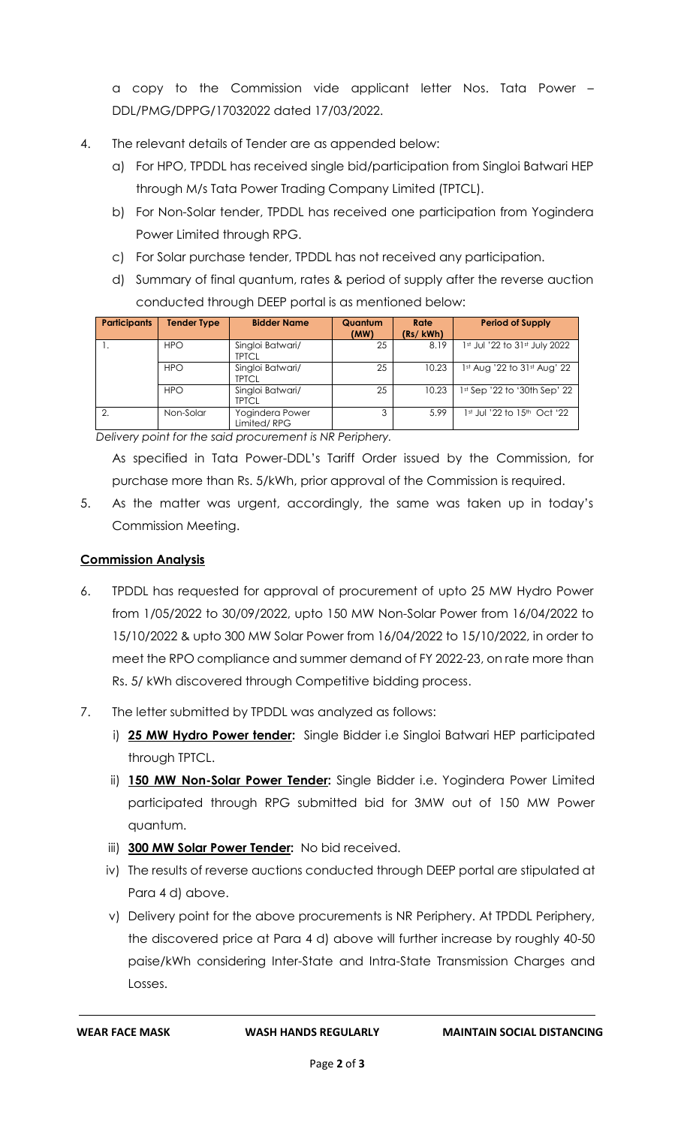a copy to the Commission vide applicant letter Nos. Tata Power – DDL/PMG/DPPG/17032022 dated 17/03/2022.

- 4. The relevant details of Tender are as appended below:
	- a) For HPO, TPDDL has received single bid/participation from Singloi Batwari HEP through M/s Tata Power Trading Company Limited (TPTCL).
	- b) For Non-Solar tender, TPDDL has received one participation from Yogindera Power Limited through RPG.
	- c) For Solar purchase tender, TPDDL has not received any participation.
	- d) Summary of final quantum, rates & period of supply after the reverse auction conducted through DEEP portal is as mentioned below:

| <b>Participants</b> | <b>Tender Type</b> | <b>Bidder Name</b>               | Quantum<br>(MW) | Rate<br>(Rs/kWh) | <b>Period of Supply</b>         |
|---------------------|--------------------|----------------------------------|-----------------|------------------|---------------------------------|
|                     | <b>HPO</b>         | Singloi Batwari/<br><b>TPTCL</b> | 25              | 8.19             | 1st Jul '22 to 31st July 2022   |
|                     | <b>HPO</b>         | Singloi Batwari/<br><b>TPTCL</b> | 25              | 10.23            | $1st$ Aug '22 to $31st$ Aug' 22 |
|                     | <b>HPO</b>         | Singloi Batwari/<br><b>TPTCL</b> | 25              | 10.23            | 1st Sep '22 to '30th Sep' 22    |
|                     | Non-Solar          | Yogindera Power<br>Limited/RPG   | 3               | 5.99             | 1st Jul '22 to 15th Oct '22     |

*Delivery point for the said procurement is NR Periphery.* 

As specified in Tata Power-DDL's Tariff Order issued by the Commission, for purchase more than Rs. 5/kWh, prior approval of the Commission is required.

5. As the matter was urgent, accordingly, the same was taken up in today's Commission Meeting.

## **Commission Analysis**

- 6. TPDDL has requested for approval of procurement of upto 25 MW Hydro Power from 1/05/2022 to 30/09/2022, upto 150 MW Non-Solar Power from 16/04/2022 to 15/10/2022 & upto 300 MW Solar Power from 16/04/2022 to 15/10/2022, in order to meet the RPO compliance and summer demand of FY 2022-23, on rate more than Rs. 5/ kWh discovered through Competitive bidding process.
- 7. The letter submitted by TPDDL was analyzed as follows:
	- i) **25 MW Hydro Power tender:** Single Bidder i.e Singloi Batwari HEP participated through TPTCL.
	- ii) **150 MW Non-Solar Power Tender:** Single Bidder i.e. Yogindera Power Limited participated through RPG submitted bid for 3MW out of 150 MW Power quantum.
	- iii) **300 MW Solar Power Tender:** No bid received.
	- iv) The results of reverse auctions conducted through DEEP portal are stipulated at Para 4 d) above.
	- v) Delivery point for the above procurements is NR Periphery. At TPDDL Periphery, the discovered price at Para 4 d) above will further increase by roughly 40-50 paise/kWh considering Inter-State and Intra-State Transmission Charges and Losses.